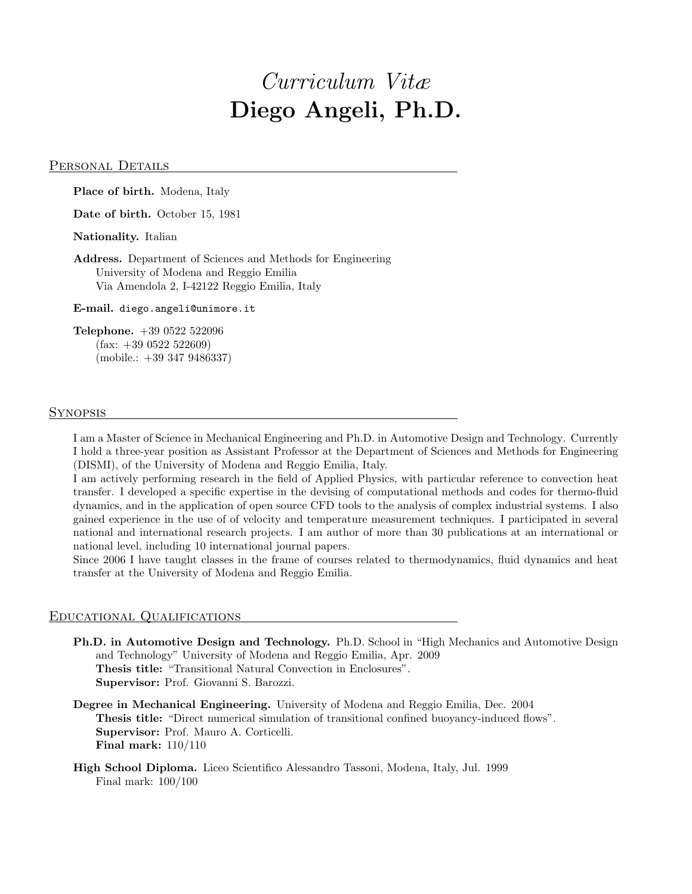# Curriculum Vitæ Diego Angeli, Ph.D.

## PERSONAL DETAILS

Place of birth. Modena, Italy

Date of birth. October 15, 1981

Nationality. Italian

Address. Department of Sciences and Methods for Engineering University of Modena and Reggio Emilia Via Amendola 2, I-42122 Reggio Emilia, Italy

E-mail. diego.angeli@unimore.it

Telephone. +39 0522 522096  $(fax: +390522522609)$ (mobile.: +39 347 9486337)

## **SYNOPSIS**

I am a Master of Science in Mechanical Engineering and Ph.D. in Automotive Design and Technology. Currently I hold a three-year position as Assistant Professor at the Department of Sciences and Methods for Engineering (DISMI), of the University of Modena and Reggio Emilia, Italy.

I am actively performing research in the field of Applied Physics, with particular reference to convection heat transfer. I developed a specific expertise in the devising of computational methods and codes for thermo-fluid dynamics, and in the application of open source CFD tools to the analysis of complex industrial systems. I also gained experience in the use of of velocity and temperature measurement techniques. I participated in several national and international research projects. I am author of more than 30 publications at an international or national level, including 10 international journal papers.

Since 2006 I have taught classes in the frame of courses related to thermodynamics, fluid dynamics and heat transfer at the University of Modena and Reggio Emilia.

## Educational Qualifications

- Ph.D. in Automotive Design and Technology. Ph.D. School in "High Mechanics and Automotive Design and Technology" University of Modena and Reggio Emilia, Apr. 2009 Thesis title: "Transitional Natural Convection in Enclosures". Supervisor: Prof. Giovanni S. Barozzi.
- Degree in Mechanical Engineering. University of Modena and Reggio Emilia, Dec. 2004 Thesis title: "Direct numerical simulation of transitional confined buoyancy-induced flows". Supervisor: Prof. Mauro A. Corticelli. Final mark: 110/110
- High School Diploma. Liceo Scientifico Alessandro Tassoni, Modena, Italy, Jul. 1999 Final mark: 100/100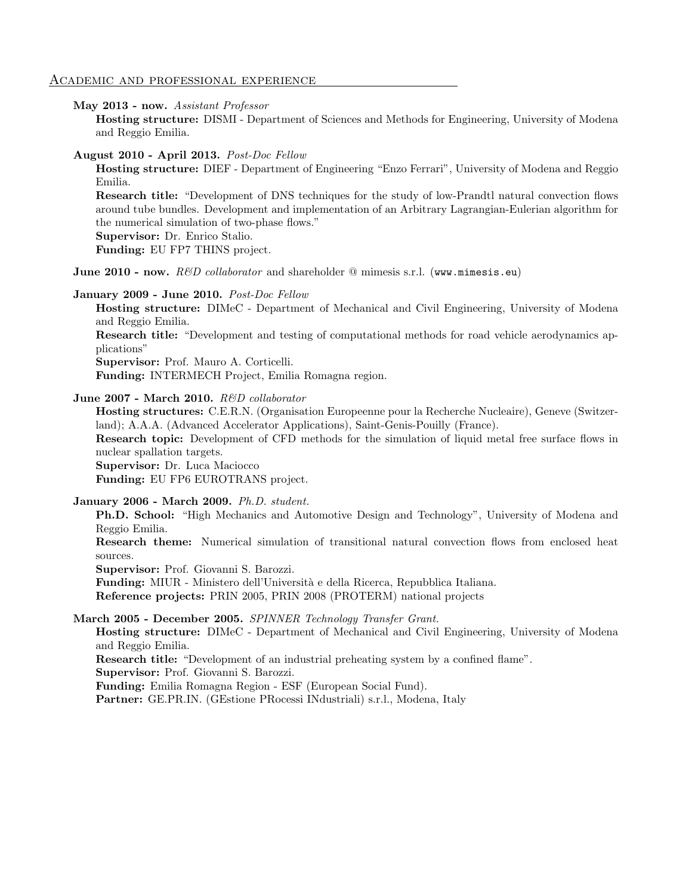#### Academic and professional experience

May 2013 - now. Assistant Professor

Hosting structure: DISMI - Department of Sciences and Methods for Engineering, University of Modena and Reggio Emilia.

August 2010 - April 2013. Post-Doc Fellow

Hosting structure: DIEF - Department of Engineering "Enzo Ferrari", University of Modena and Reggio Emilia.

Research title: "Development of DNS techniques for the study of low-Prandtl natural convection flows around tube bundles. Development and implementation of an Arbitrary Lagrangian-Eulerian algorithm for the numerical simulation of two-phase flows."

Supervisor: Dr. Enrico Stalio.

Funding: EU FP7 THINS project.

June 2010 - now.  $R\&D$  collaborator and shareholder @ mimesis s.r.l. (www.mimesis.eu)

January 2009 - June 2010. Post-Doc Fellow

Hosting structure: DIMeC - Department of Mechanical and Civil Engineering, University of Modena and Reggio Emilia.

Research title: "Development and testing of computational methods for road vehicle aerodynamics applications"

Supervisor: Prof. Mauro A. Corticelli.

Funding: INTERMECH Project, Emilia Romagna region.

June 2007 - March 2010.  $R\&D$  collaborator

Hosting structures: C.E.R.N. (Organisation Europeenne pour la Recherche Nucleaire), Geneve (Switzerland); A.A.A. (Advanced Accelerator Applications), Saint-Genis-Pouilly (France).

Research topic: Development of CFD methods for the simulation of liquid metal free surface flows in nuclear spallation targets.

Supervisor: Dr. Luca Maciocco

Funding: EU FP6 EUROTRANS project.

January 2006 - March 2009. Ph.D. student.

Ph.D. School: "High Mechanics and Automotive Design and Technology", University of Modena and Reggio Emilia.

**Research theme:** Numerical simulation of transitional natural convection flows from enclosed heat sources.

Supervisor: Prof. Giovanni S. Barozzi.

Funding: MIUR - Ministero dell'Università e della Ricerca, Repubblica Italiana.

Reference projects: PRIN 2005, PRIN 2008 (PROTERM) national projects

March 2005 - December 2005. SPINNER Technology Transfer Grant.

Hosting structure: DIMeC - Department of Mechanical and Civil Engineering, University of Modena and Reggio Emilia.

Research title: "Development of an industrial preheating system by a confined flame".

Supervisor: Prof. Giovanni S. Barozzi.

Funding: Emilia Romagna Region - ESF (European Social Fund).

Partner: GE.PR.IN. (GEstione PRocessi INdustriali) s.r.l., Modena, Italy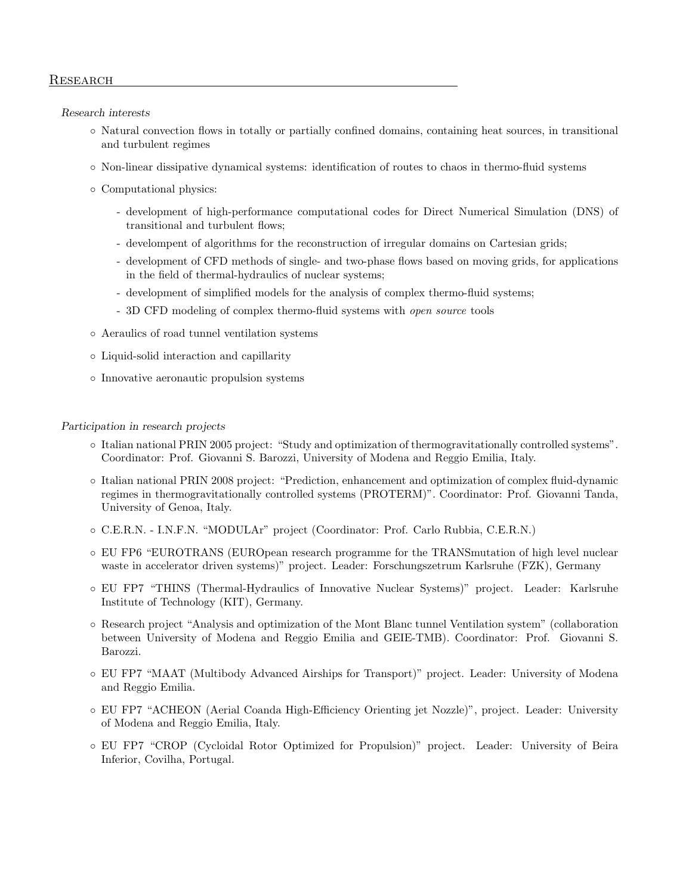## **RESEARCH**

Research interests

- Natural convection flows in totally or partially confined domains, containing heat sources, in transitional and turbulent regimes
- Non-linear dissipative dynamical systems: identification of routes to chaos in thermo-fluid systems
- Computational physics:
	- development of high-performance computational codes for Direct Numerical Simulation (DNS) of transitional and turbulent flows;
	- develompent of algorithms for the reconstruction of irregular domains on Cartesian grids;
	- development of CFD methods of single- and two-phase flows based on moving grids, for applications in the field of thermal-hydraulics of nuclear systems;
	- development of simplified models for the analysis of complex thermo-fluid systems;
	- 3D CFD modeling of complex thermo-fluid systems with open source tools
- Aeraulics of road tunnel ventilation systems
- Liquid-solid interaction and capillarity
- Innovative aeronautic propulsion systems

Participation in research projects

- Italian national PRIN 2005 project: "Study and optimization of thermogravitationally controlled systems". Coordinator: Prof. Giovanni S. Barozzi, University of Modena and Reggio Emilia, Italy.
- Italian national PRIN 2008 project: "Prediction, enhancement and optimization of complex fluid-dynamic regimes in thermogravitationally controlled systems (PROTERM)". Coordinator: Prof. Giovanni Tanda, University of Genoa, Italy.
- C.E.R.N. I.N.F.N. "MODULAr" project (Coordinator: Prof. Carlo Rubbia, C.E.R.N.)
- EU FP6 "EUROTRANS (EUROpean research programme for the TRANSmutation of high level nuclear waste in accelerator driven systems)" project. Leader: Forschungszetrum Karlsruhe (FZK), Germany
- EU FP7 "THINS (Thermal-Hydraulics of Innovative Nuclear Systems)" project. Leader: Karlsruhe Institute of Technology (KIT), Germany.
- Research project "Analysis and optimization of the Mont Blanc tunnel Ventilation system" (collaboration between University of Modena and Reggio Emilia and GEIE-TMB). Coordinator: Prof. Giovanni S. Barozzi.
- EU FP7 "MAAT (Multibody Advanced Airships for Transport)" project. Leader: University of Modena and Reggio Emilia.
- EU FP7 "ACHEON (Aerial Coanda High-Efficiency Orienting jet Nozzle)", project. Leader: University of Modena and Reggio Emilia, Italy.
- EU FP7 "CROP (Cycloidal Rotor Optimized for Propulsion)" project. Leader: University of Beira Inferior, Covilha, Portugal.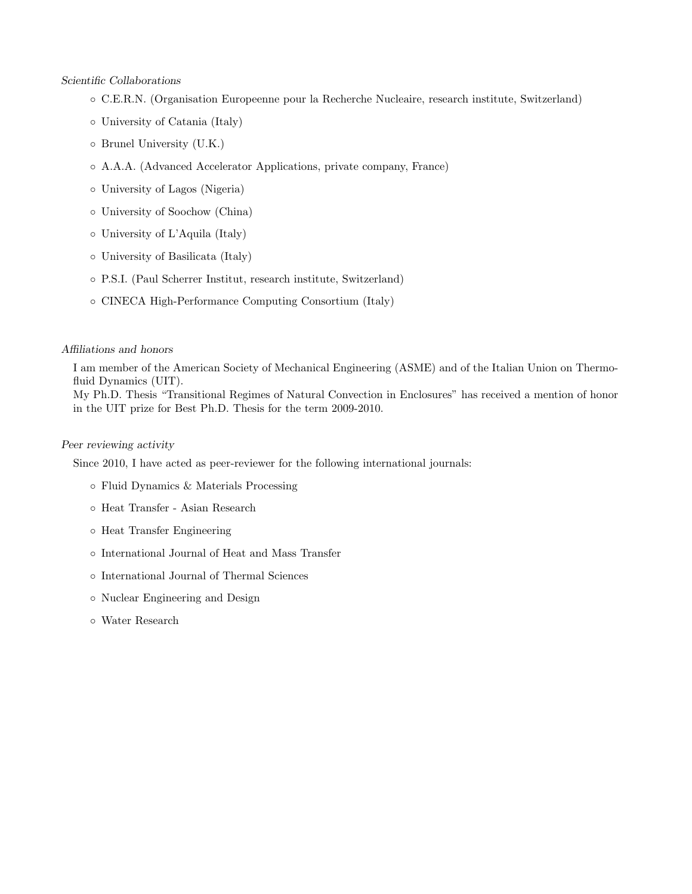# Scientific Collaborations

- C.E.R.N. (Organisation Europeenne pour la Recherche Nucleaire, research institute, Switzerland)
- University of Catania (Italy)
- Brunel University (U.K.)
- A.A.A. (Advanced Accelerator Applications, private company, France)
- University of Lagos (Nigeria)
- University of Soochow (China)
- University of L'Aquila (Italy)
- University of Basilicata (Italy)
- P.S.I. (Paul Scherrer Institut, research institute, Switzerland)
- CINECA High-Performance Computing Consortium (Italy)

## Affiliations and honors

I am member of the American Society of Mechanical Engineering (ASME) and of the Italian Union on Thermofluid Dynamics (UIT).

My Ph.D. Thesis "Transitional Regimes of Natural Convection in Enclosures" has received a mention of honor in the UIT prize for Best Ph.D. Thesis for the term 2009-2010.

#### Peer reviewing activity

Since 2010, I have acted as peer-reviewer for the following international journals:

- Fluid Dynamics & Materials Processing
- Heat Transfer Asian Research
- Heat Transfer Engineering
- International Journal of Heat and Mass Transfer
- International Journal of Thermal Sciences
- Nuclear Engineering and Design
- Water Research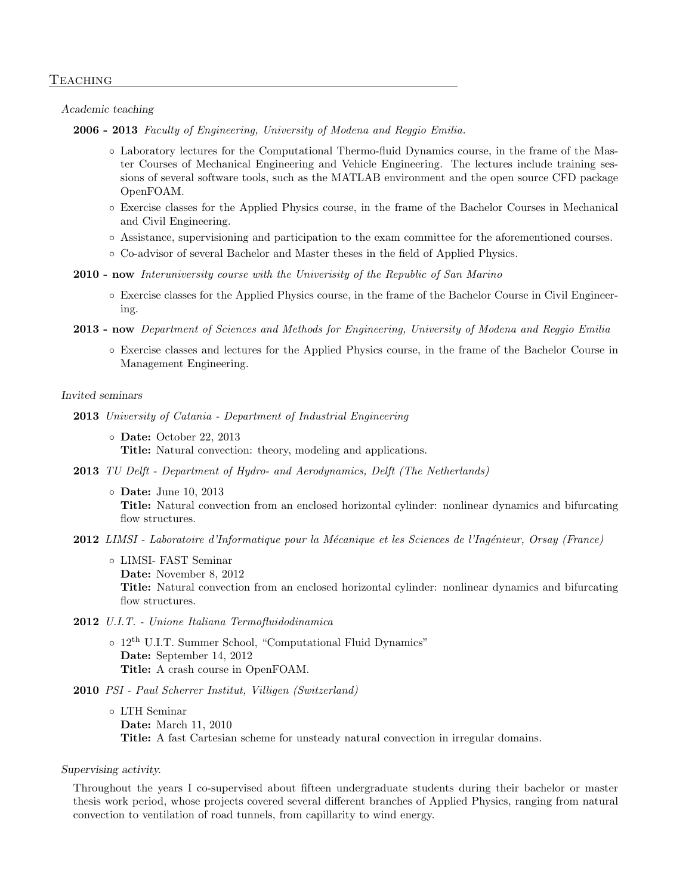#### **TEACHING**

Academic teaching

2006 - 2013 Faculty of Engineering, University of Modena and Reggio Emilia.

- Laboratory lectures for the Computational Thermo-fluid Dynamics course, in the frame of the Master Courses of Mechanical Engineering and Vehicle Engineering. The lectures include training sessions of several software tools, such as the MATLAB environment and the open source CFD package OpenFOAM.
- Exercise classes for the Applied Physics course, in the frame of the Bachelor Courses in Mechanical and Civil Engineering.
- Assistance, supervisioning and participation to the exam committee for the aforementioned courses.
- Co-advisor of several Bachelor and Master theses in the field of Applied Physics.
- 2010 now Interuniversity course with the Univerisity of the Republic of San Marino
	- Exercise classes for the Applied Physics course, in the frame of the Bachelor Course in Civil Engineering.
- 2013 now Department of Sciences and Methods for Engineering, University of Modena and Reggio Emilia
	- Exercise classes and lectures for the Applied Physics course, in the frame of the Bachelor Course in Management Engineering.

#### Invited seminars

- 2013 University of Catania Department of Industrial Engineering
	- Date: October 22, 2013

Title: Natural convection: theory, modeling and applications.

- 2013 TU Delft Department of Hydro- and Aerodynamics, Delft (The Netherlands)
	- Date: June 10, 2013

Title: Natural convection from an enclosed horizontal cylinder: nonlinear dynamics and bifurcating flow structures.

- 2012 LIMSI Laboratoire d'Informatique pour la Mécanique et les Sciences de l'Ingénieur, Orsay (France)
	- LIMSI- FAST Seminar
		- Date: November 8, 2012

Title: Natural convection from an enclosed horizontal cylinder: nonlinear dynamics and bifurcating flow structures.

- 2012 U.I.T. Unione Italiana Termofluidodinamica
	- 12th U.I.T. Summer School, "Computational Fluid Dynamics" Date: September 14, 2012 Title: A crash course in OpenFOAM.
- 2010 PSI Paul Scherrer Institut, Villigen (Switzerland)
	- LTH Seminar Date: March 11, 2010 Title: A fast Cartesian scheme for unsteady natural convection in irregular domains.
- Supervising activity.

Throughout the years I co-supervised about fifteen undergraduate students during their bachelor or master thesis work period, whose projects covered several different branches of Applied Physics, ranging from natural convection to ventilation of road tunnels, from capillarity to wind energy.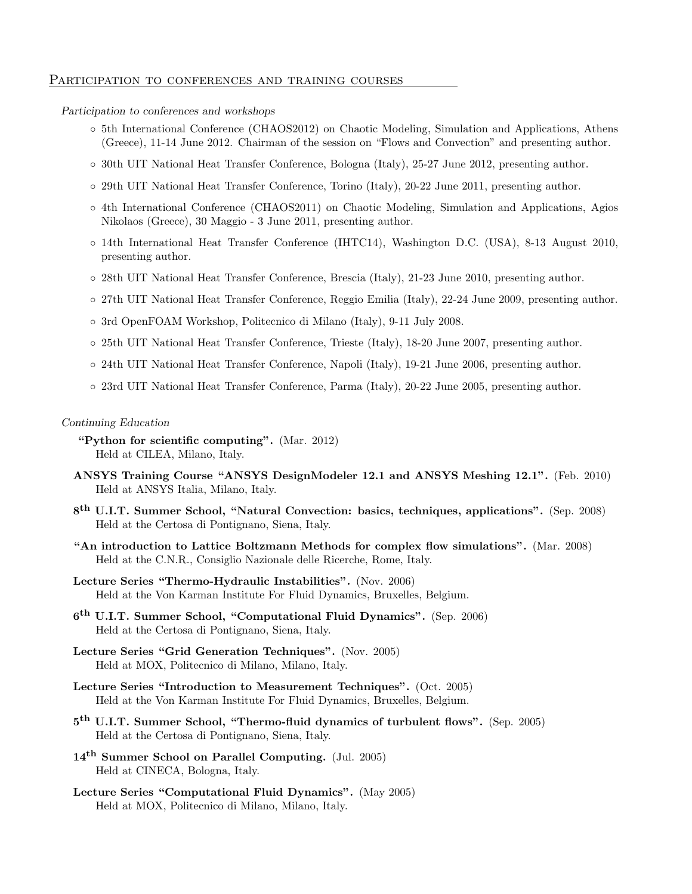## PARTICIPATION TO CONFERENCES AND TRAINING COURSES

Participation to conferences and workshops

- 5th International Conference (CHAOS2012) on Chaotic Modeling, Simulation and Applications, Athens (Greece), 11-14 June 2012. Chairman of the session on "Flows and Convection" and presenting author.
- 30th UIT National Heat Transfer Conference, Bologna (Italy), 25-27 June 2012, presenting author.
- 29th UIT National Heat Transfer Conference, Torino (Italy), 20-22 June 2011, presenting author.
- 4th International Conference (CHAOS2011) on Chaotic Modeling, Simulation and Applications, Agios Nikolaos (Greece), 30 Maggio - 3 June 2011, presenting author.
- 14th International Heat Transfer Conference (IHTC14), Washington D.C. (USA), 8-13 August 2010, presenting author.
- 28th UIT National Heat Transfer Conference, Brescia (Italy), 21-23 June 2010, presenting author.
- 27th UIT National Heat Transfer Conference, Reggio Emilia (Italy), 22-24 June 2009, presenting author.
- 3rd OpenFOAM Workshop, Politecnico di Milano (Italy), 9-11 July 2008.
- 25th UIT National Heat Transfer Conference, Trieste (Italy), 18-20 June 2007, presenting author.
- 24th UIT National Heat Transfer Conference, Napoli (Italy), 19-21 June 2006, presenting author.
- 23rd UIT National Heat Transfer Conference, Parma (Italy), 20-22 June 2005, presenting author.

#### Continuing Education

- "Python for scientific computing". (Mar. 2012) Held at CILEA, Milano, Italy.
- ANSYS Training Course "ANSYS DesignModeler 12.1 and ANSYS Meshing 12.1". (Feb. 2010) Held at ANSYS Italia, Milano, Italy.
- 8<sup>th</sup> U.I.T. Summer School, "Natural Convection: basics, techniques, applications". (Sep. 2008) Held at the Certosa di Pontignano, Siena, Italy.
- "An introduction to Lattice Boltzmann Methods for complex flow simulations". (Mar. 2008) Held at the C.N.R., Consiglio Nazionale delle Ricerche, Rome, Italy.
- Lecture Series "Thermo-Hydraulic Instabilities". (Nov. 2006) Held at the Von Karman Institute For Fluid Dynamics, Bruxelles, Belgium.
- 6<sup>th</sup> U.I.T. Summer School, "Computational Fluid Dynamics". (Sep. 2006) Held at the Certosa di Pontignano, Siena, Italy.
- Lecture Series "Grid Generation Techniques". (Nov. 2005) Held at MOX, Politecnico di Milano, Milano, Italy.
- Lecture Series "Introduction to Measurement Techniques". (Oct. 2005) Held at the Von Karman Institute For Fluid Dynamics, Bruxelles, Belgium.
- $5<sup>th</sup>$  U.I.T. Summer School, "Thermo-fluid dynamics of turbulent flows". (Sep. 2005) Held at the Certosa di Pontignano, Siena, Italy.
- 14th Summer School on Parallel Computing. (Jul. 2005) Held at CINECA, Bologna, Italy.
- Lecture Series "Computational Fluid Dynamics". (May 2005) Held at MOX, Politecnico di Milano, Milano, Italy.